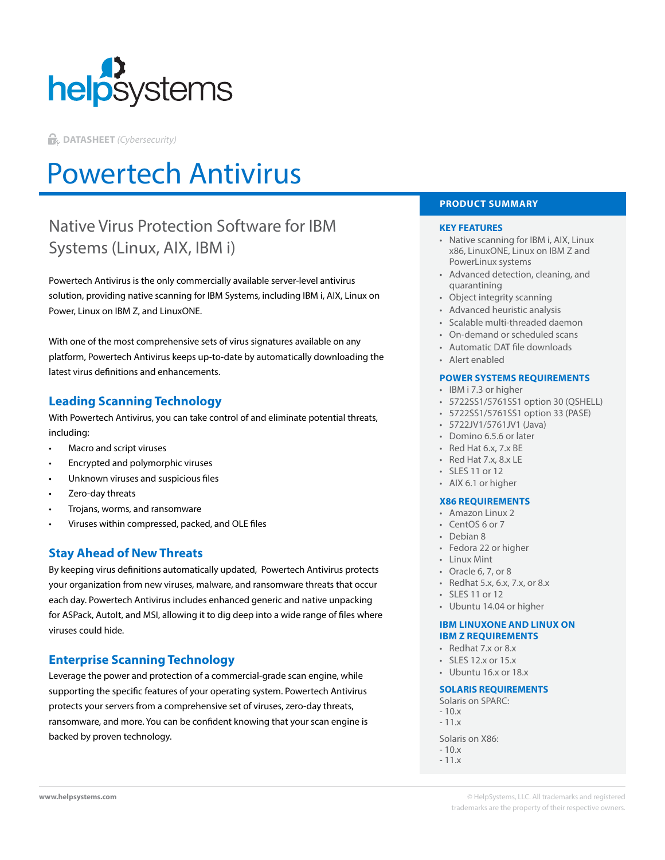

**DATASHEET** *(Cybersecurity)*

# Powertech Antivirus

## Native Virus Protection Software for IBM Systems (Linux, AIX, IBM i)

Powertech Antivirus is the only commercially available server-level antivirus solution, providing native scanning for IBM Systems, including IBM i, AIX, Linux on Power, Linux on IBM Z, and LinuxONE.

With one of the most comprehensive sets of virus signatures available on any platform, Powertech Antivirus keeps up-to-date by automatically downloading the latest virus definitions and enhancements.

## **Leading Scanning Technology**

With Powertech Antivirus, you can take control of and eliminate potential threats, including:

- Macro and script viruses
- Encrypted and polymorphic viruses
- Unknown viruses and suspicious files
- Zero-day threats
- Trojans, worms, and ransomware
- Viruses within compressed, packed, and OLE files

## **Stay Ahead of New Threats**

By keeping virus definitions automatically updated, Powertech Antivirus protects your organization from new viruses, malware, and ransomware threats that occur each day. Powertech Antivirus includes enhanced generic and native unpacking for ASPack, Autolt, and MSI, allowing it to dig deep into a wide range of files where viruses could hide.

## **Enterprise Scanning Technology**

Leverage the power and protection of a commercial-grade scan engine, while supporting the specific features of your operating system. Powertech Antivirus protects your servers from a comprehensive set of viruses, zero-day threats, ransomware, and more. You can be confident knowing that your scan engine is backed by proven technology.

#### **PRODUCT SUMMARY**

#### **KEY FEATURES**

- Native scanning for IBM i, AIX, Linux x86, LinuxONE, Linux on IBM Z and PowerLinux systems
- Advanced detection, cleaning, and quarantining
- Object integrity scanning
- Advanced heuristic analysis
- Scalable multi-threaded daemon
- On-demand or scheduled scans
- Automatic DAT file downloads
- Alert enabled

#### **POWER SYSTEMS REQUIREMENTS**

- IBM i 7.3 or higher
- 5722SS1/5761SS1 option 30 (QSHELL)
- 5722SS1/5761SS1 option 33 (PASE)
- 5722JV1/5761JV1 (Java)
- Domino 6.5.6 or later
- Red Hat 6.x, 7.x BE
- Red Hat 7.x, 8.x LE
- SLES 11 or 12
- AIX 6.1 or higher

#### **X86 REQUIREMENTS**

- Amazon Linux 2
- CentOS 6 or 7
- Debian 8
- Fedora 22 or higher
- Linux Mint
- Oracle 6, 7, or 8
- Redhat 5.x, 6.x, 7.x, or 8.x
- SLES 11 or 12
- Ubuntu 14.04 or higher

#### **IBM LINUXONE AND LINUX ON IBM Z REQUIREMENTS**

- Redhat 7.x or 8.x
- SLES 12.x or 15.x
- Ubuntu 16.x or 18.x

#### **SOLARIS REQUIREMENTS**

- Solaris on SPARC:
- $-10.x$ - 11.x
- 
- Solaris on X86:
- $-10x$
- 11.x